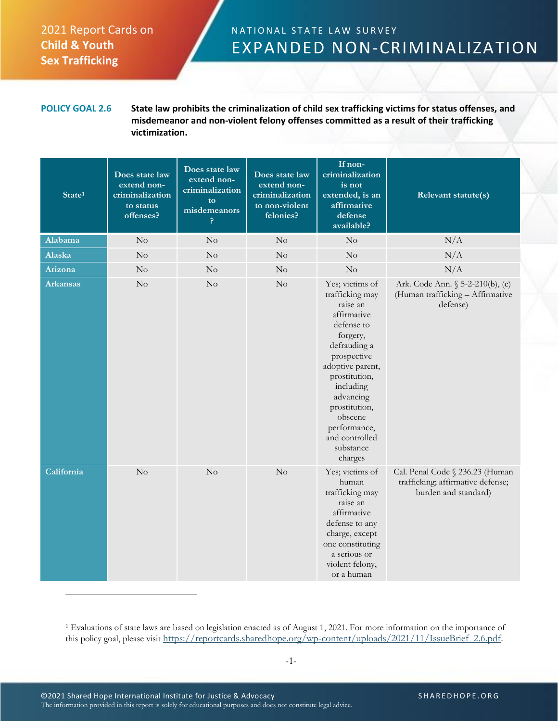## 2021 Report Cards on **Child & Youth Sex Trafficking**

## NATIONAL STATE LAW SURVEY EXPANDED NON-CRIMINALIZATION

**POLICY GOAL 2.6 State law prohibits the criminalization of child sex trafficking victims for status offenses, and misdemeanor and non-violent felony offenses committed as a result of their trafficking victimization.**

| State <sup>1</sup> | Does state law<br>extend non-<br>criminalization<br>to status<br>offenses? | Does state law<br>extend non-<br>criminalization<br>to<br>misdemeanors<br>P | Does state law<br>extend non-<br>criminalization<br>to non-violent<br>felonies? | If non-<br>criminalization<br>is not<br>extended, is an<br>affirmative<br>defense<br>available?                                                                                                                                                                             | Relevant statute(s)                                                                          |
|--------------------|----------------------------------------------------------------------------|-----------------------------------------------------------------------------|---------------------------------------------------------------------------------|-----------------------------------------------------------------------------------------------------------------------------------------------------------------------------------------------------------------------------------------------------------------------------|----------------------------------------------------------------------------------------------|
| Alabama            | $\rm No$                                                                   | No                                                                          | $\rm No$                                                                        | $\rm No$                                                                                                                                                                                                                                                                    | N/A                                                                                          |
| Alaska             | No                                                                         | No                                                                          | No                                                                              | No                                                                                                                                                                                                                                                                          | N/A                                                                                          |
| Arizona            | $\rm No$                                                                   | No                                                                          | $\rm No$                                                                        | $\rm No$                                                                                                                                                                                                                                                                    | N/A                                                                                          |
| <b>Arkansas</b>    | $\rm No$                                                                   | $\rm No$                                                                    | $\rm No$                                                                        | Yes; victims of<br>trafficking may<br>raise an<br>affirmative<br>defense to<br>forgery,<br>defrauding a<br>prospective<br>adoptive parent,<br>prostitution,<br>including<br>advancing<br>prostitution,<br>obscene<br>performance,<br>and controlled<br>substance<br>charges | Ark. Code Ann. § 5-2-210(b), (c)<br>(Human trafficking - Affirmative<br>defense)             |
| California         | No                                                                         | No                                                                          | No                                                                              | Yes; victims of<br>human<br>trafficking may<br>raise an<br>affirmative<br>defense to any<br>charge, except<br>one constituting<br>a serious or<br>violent felony,<br>or a human                                                                                             | Cal. Penal Code § 236.23 (Human<br>trafficking; affirmative defense;<br>burden and standard) |

<sup>1</sup> Evaluations of state laws are based on legislation enacted as of August 1, 2021. For more information on the importance of this policy goal, please visit [https://reportcards.sharedhope.org/wp-content/uploads/2021/11/IssueBrief\\_2.6.pdf.](https://reportcards.sharedhope.org/wp-content/uploads/2021/11/IssueBrief_2.6.pdf)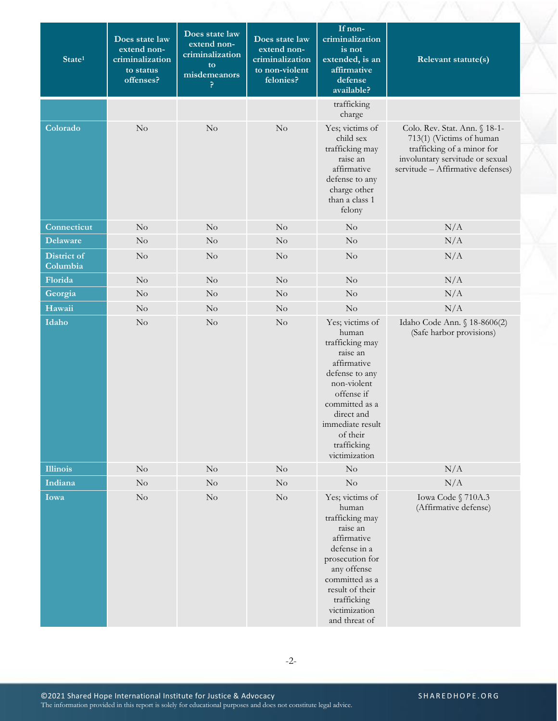| State <sup>1</sup>      | Does state law<br>extend non-<br>criminalization<br>to status<br>offenses? | Does state law<br>extend non-<br>criminalization<br>to.<br>misdemeanors<br>ę. | Does state law<br>extend non-<br>criminalization<br>to non-violent<br>felonies? | If non-<br>criminalization<br>is not<br>extended, is an<br>affirmative<br>defense<br>available?                                                                                                                       | Relevant statute(s)                                                                                                                                             |  |
|-------------------------|----------------------------------------------------------------------------|-------------------------------------------------------------------------------|---------------------------------------------------------------------------------|-----------------------------------------------------------------------------------------------------------------------------------------------------------------------------------------------------------------------|-----------------------------------------------------------------------------------------------------------------------------------------------------------------|--|
|                         |                                                                            |                                                                               |                                                                                 | trafficking<br>charge                                                                                                                                                                                                 |                                                                                                                                                                 |  |
| Colorado                | No                                                                         | $\rm No$                                                                      | $\rm No$                                                                        | Yes; victims of<br>child sex<br>trafficking may<br>raise an<br>affirmative<br>defense to any<br>charge other<br>than a class 1<br>felony                                                                              | Colo. Rev. Stat. Ann. § 18-1-<br>713(1) (Victims of human<br>trafficking of a minor for<br>involuntary servitude or sexual<br>servitude - Affirmative defenses) |  |
| Connecticut             | $\rm No$                                                                   | $\rm No$                                                                      | $\rm No$                                                                        | No                                                                                                                                                                                                                    | N/A                                                                                                                                                             |  |
| <b>Delaware</b>         | No                                                                         | $\rm No$                                                                      | No                                                                              | No                                                                                                                                                                                                                    | N/A                                                                                                                                                             |  |
| District of<br>Columbia | No                                                                         | No                                                                            | No                                                                              | $\rm No$                                                                                                                                                                                                              | N/A                                                                                                                                                             |  |
| Florida                 | $\rm No$                                                                   | $\rm No$                                                                      | No                                                                              | No                                                                                                                                                                                                                    | N/A                                                                                                                                                             |  |
| Georgia                 | $\rm No$                                                                   | $\rm No$                                                                      | $\rm No$                                                                        | $\rm No$                                                                                                                                                                                                              | N/A                                                                                                                                                             |  |
| Hawaii                  | No                                                                         | $\rm No$                                                                      | $\rm No$                                                                        | $\rm No$                                                                                                                                                                                                              | N/A                                                                                                                                                             |  |
| Idaho                   | No                                                                         | $\rm No$                                                                      | $\rm No$                                                                        | Yes; victims of<br>human<br>trafficking may<br>raise an<br>affirmative<br>defense to any<br>non-violent<br>offense if<br>committed as a<br>direct and<br>immediate result<br>of their<br>trafficking<br>victimization | Idaho Code Ann. § 18-8606(2)<br>(Safe harbor provisions)                                                                                                        |  |
| <b>Illinois</b>         | $\rm No$                                                                   | $\rm No$                                                                      | $\rm No$                                                                        | No                                                                                                                                                                                                                    | N/A                                                                                                                                                             |  |
| Indiana                 | $\rm No$                                                                   | $\rm No$                                                                      | $\rm No$                                                                        | $\rm No$                                                                                                                                                                                                              | N/A                                                                                                                                                             |  |
| Iowa                    | $\rm No$                                                                   | $\rm No$                                                                      | $\rm No$                                                                        | Yes; victims of<br>human<br>trafficking may<br>raise an<br>affirmative<br>defense in a<br>prosecution for<br>any offense<br>committed as a<br>result of their<br>trafficking<br>victimization<br>and threat of        | Iowa Code § 710A.3<br>(Affirmative defense)                                                                                                                     |  |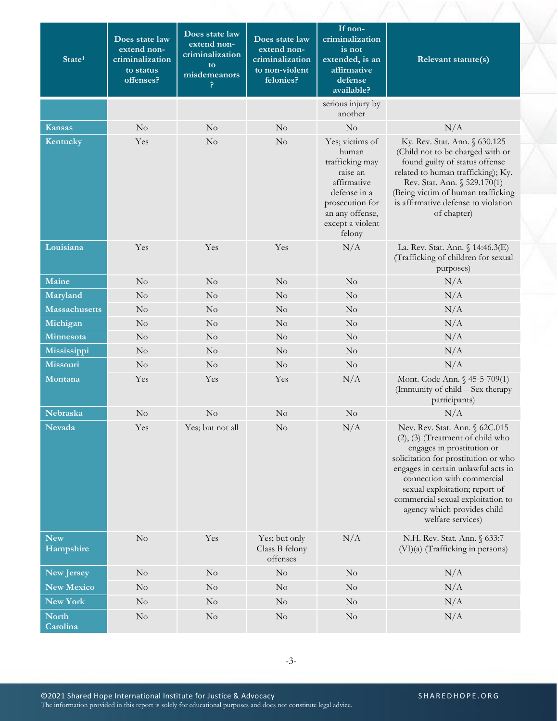| State <sup>1</sup>       | Does state law<br>extend non-<br>criminalization<br>to status<br>offenses? | Does state law<br>extend non-<br>criminalization<br>to<br>misdemeanors<br>P | Does state law<br>extend non-<br>criminalization<br>to non-violent<br>felonies? | If non-<br>criminalization<br>is not<br>extended, is an<br>affirmative<br>defense<br>available?                                                            | Relevant statute(s)                                                                                                                                                                                                                                                                                                                           |
|--------------------------|----------------------------------------------------------------------------|-----------------------------------------------------------------------------|---------------------------------------------------------------------------------|------------------------------------------------------------------------------------------------------------------------------------------------------------|-----------------------------------------------------------------------------------------------------------------------------------------------------------------------------------------------------------------------------------------------------------------------------------------------------------------------------------------------|
|                          |                                                                            |                                                                             |                                                                                 | serious injury by<br>another                                                                                                                               |                                                                                                                                                                                                                                                                                                                                               |
| <b>Kansas</b>            | No                                                                         | No                                                                          | No                                                                              | No                                                                                                                                                         | N/A                                                                                                                                                                                                                                                                                                                                           |
| Kentucky                 | Yes                                                                        | No                                                                          | No                                                                              | Yes; victims of<br>human<br>trafficking may<br>raise an<br>affirmative<br>defense in a<br>prosecution for<br>an any offense,<br>except a violent<br>felony | Ky. Rev. Stat. Ann. § 630.125<br>(Child not to be charged with or<br>found guilty of status offense<br>related to human trafficking); Ky.<br>Rev. Stat. Ann. § 529.170(1)<br>(Being victim of human trafficking<br>is affirmative defense to violation<br>of chapter)                                                                         |
| Louisiana                | Yes                                                                        | Yes                                                                         | Yes                                                                             | N/A                                                                                                                                                        | La. Rev. Stat. Ann. § 14:46.3(E)<br>(Trafficking of children for sexual<br>purposes)                                                                                                                                                                                                                                                          |
| Maine                    | No                                                                         | No                                                                          | No                                                                              | No                                                                                                                                                         | N/A                                                                                                                                                                                                                                                                                                                                           |
| Maryland                 | No                                                                         | No                                                                          | No                                                                              | No                                                                                                                                                         | N/A                                                                                                                                                                                                                                                                                                                                           |
| <b>Massachusetts</b>     | No                                                                         | No                                                                          | No                                                                              | No                                                                                                                                                         | N/A                                                                                                                                                                                                                                                                                                                                           |
| Michigan                 | No                                                                         | $\rm No$                                                                    | $\rm No$                                                                        | No                                                                                                                                                         | N/A                                                                                                                                                                                                                                                                                                                                           |
| Minnesota                | No                                                                         | $\rm No$                                                                    | No                                                                              | No                                                                                                                                                         | N/A                                                                                                                                                                                                                                                                                                                                           |
| Mississippi              | $\rm No$                                                                   | $\rm No$                                                                    | $\rm No$                                                                        | $\rm No$                                                                                                                                                   | N/A                                                                                                                                                                                                                                                                                                                                           |
| Missouri                 | $\rm No$                                                                   | $\rm No$                                                                    | No                                                                              | No                                                                                                                                                         | N/A                                                                                                                                                                                                                                                                                                                                           |
| Montana                  | Yes                                                                        | Yes                                                                         | Yes                                                                             | N/A                                                                                                                                                        | Mont. Code Ann. § 45-5-709(1)<br>(Immunity of child – Sex therapy<br>participants)                                                                                                                                                                                                                                                            |
| Nebraska                 | No                                                                         | $\rm No$                                                                    | No                                                                              | $\rm No$                                                                                                                                                   | N/A                                                                                                                                                                                                                                                                                                                                           |
| Nevada                   | Yes                                                                        | Yes; but not all                                                            | No                                                                              | N/A                                                                                                                                                        | Nev. Rev. Stat. Ann. § 62C.015<br>$(2)$ , $(3)$ (Treatment of child who<br>engages in prostitution or<br>solicitation for prostitution or who<br>engages in certain unlawful acts in<br>connection with commercial<br>sexual exploitation; report of<br>commercial sexual exploitation to<br>agency which provides child<br>welfare services) |
| <b>New</b><br>Hampshire  | No                                                                         | Yes                                                                         | Yes; but only<br>Class B felony<br>offenses                                     | N/A                                                                                                                                                        | N.H. Rev. Stat. Ann. § 633:7<br>(VI)(a) (Trafficking in persons)                                                                                                                                                                                                                                                                              |
| <b>New Jersey</b>        | No                                                                         | No                                                                          | $\rm No$                                                                        | No                                                                                                                                                         | N/A                                                                                                                                                                                                                                                                                                                                           |
| <b>New Mexico</b>        | No                                                                         | No                                                                          | $\rm No$                                                                        | No                                                                                                                                                         | N/A                                                                                                                                                                                                                                                                                                                                           |
| New York                 | $\rm No$                                                                   | No                                                                          | $\rm No$                                                                        | $\rm No$                                                                                                                                                   | N/A                                                                                                                                                                                                                                                                                                                                           |
| <b>North</b><br>Carolina | $\rm No$                                                                   | $\rm No$                                                                    | $\rm No$                                                                        | No                                                                                                                                                         | N/A                                                                                                                                                                                                                                                                                                                                           |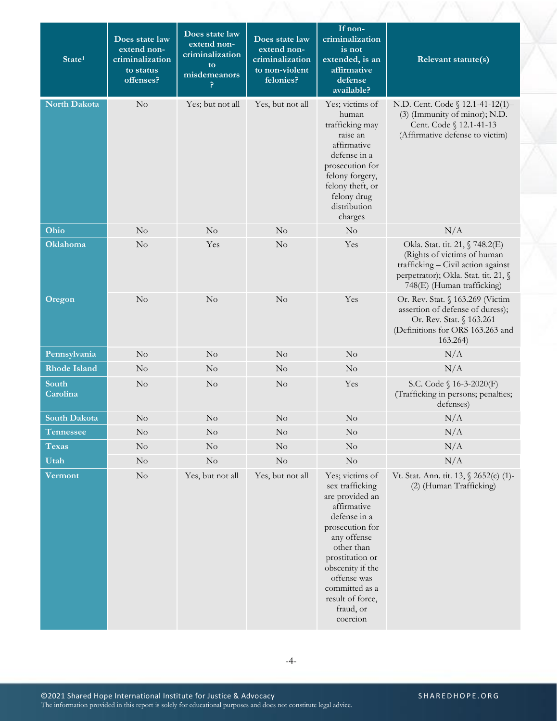| State <sup>1</sup>  | Does state law<br>extend non-<br>criminalization<br>to status<br>offenses? | Does state law<br>extend non-<br>criminalization<br>to<br>misdemeanors<br>P | Does state law<br>extend non-<br>criminalization<br>to non-violent<br>felonies? | If non-<br>criminalization<br>is not<br>extended, is an<br>affirmative<br>defense<br>available?                                                                                                                                                           | Relevant statute(s)                                                                                                                                                        |
|---------------------|----------------------------------------------------------------------------|-----------------------------------------------------------------------------|---------------------------------------------------------------------------------|-----------------------------------------------------------------------------------------------------------------------------------------------------------------------------------------------------------------------------------------------------------|----------------------------------------------------------------------------------------------------------------------------------------------------------------------------|
| North Dakota        | $\rm No$                                                                   | Yes; but not all                                                            | Yes, but not all                                                                | Yes; victims of<br>human<br>trafficking may<br>raise an<br>affirmative<br>defense in a<br>prosecution for<br>felony forgery,<br>felony theft, or<br>felony drug<br>distribution<br>charges                                                                | N.D. Cent. Code § 12.1-41-12(1)-<br>(3) (Immunity of minor); N.D.<br>Cent. Code § 12.1-41-13<br>(Affirmative defense to victim)                                            |
| Ohio                | $\rm No$                                                                   | No                                                                          | $\rm No$                                                                        | $\rm No$                                                                                                                                                                                                                                                  | N/A                                                                                                                                                                        |
| Oklahoma            | No                                                                         | Yes                                                                         | No                                                                              | Yes                                                                                                                                                                                                                                                       | Okla. Stat. tit. 21, § 748.2(E)<br>(Rights of victims of human<br>trafficking - Civil action against<br>perpetrator); Okla. Stat. tit. 21, §<br>748(E) (Human trafficking) |
| Oregon              | No                                                                         | No                                                                          | No                                                                              | Yes                                                                                                                                                                                                                                                       | Or. Rev. Stat. § 163.269 (Victim<br>assertion of defense of duress);<br>Or. Rev. Stat. § 163.261<br>(Definitions for ORS 163.263 and<br>163.264)                           |
| Pennsylvania        | $\rm No$                                                                   | No                                                                          | $\rm No$                                                                        | No                                                                                                                                                                                                                                                        | N/A                                                                                                                                                                        |
| <b>Rhode Island</b> | $\rm No$                                                                   | No                                                                          | $\rm No$                                                                        | No                                                                                                                                                                                                                                                        | N/A                                                                                                                                                                        |
| South<br>Carolina   | No                                                                         | No                                                                          | $\rm No$                                                                        | Yes                                                                                                                                                                                                                                                       | S.C. Code § 16-3-2020(F)<br>(Trafficking in persons; penalties;<br>defenses)                                                                                               |
| <b>South Dakota</b> | $\rm No$                                                                   | $\rm No$                                                                    | No                                                                              | No                                                                                                                                                                                                                                                        | N/A                                                                                                                                                                        |
| Tennessee           | $\rm No$                                                                   | $\overline{\text{No}}$                                                      | $\rm No$                                                                        | $\rm No$                                                                                                                                                                                                                                                  | $\rm N/A$                                                                                                                                                                  |
| <b>Texas</b>        | $\rm No$                                                                   | No                                                                          | No                                                                              | $\rm No$                                                                                                                                                                                                                                                  | N/A                                                                                                                                                                        |
| Utah                | $\rm No$                                                                   | $\rm No$                                                                    | $\rm No$                                                                        | No                                                                                                                                                                                                                                                        | N/A                                                                                                                                                                        |
| Vermont             | $\rm No$                                                                   | Yes, but not all                                                            | Yes, but not all                                                                | Yes; victims of<br>sex trafficking<br>are provided an<br>affirmative<br>defense in a<br>prosecution for<br>any offense<br>other than<br>prostitution or<br>obscenity if the<br>offense was<br>committed as a<br>result of force,<br>fraud, or<br>coercion | Vt. Stat. Ann. tit. 13, § 2652(c) (1)-<br>(2) (Human Trafficking)                                                                                                          |